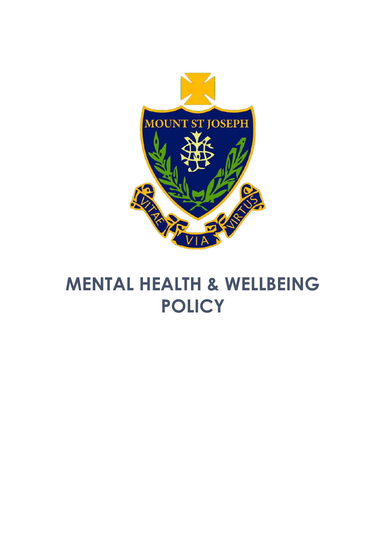

# **MENTAL HEALTH & WELLBEING POLICY**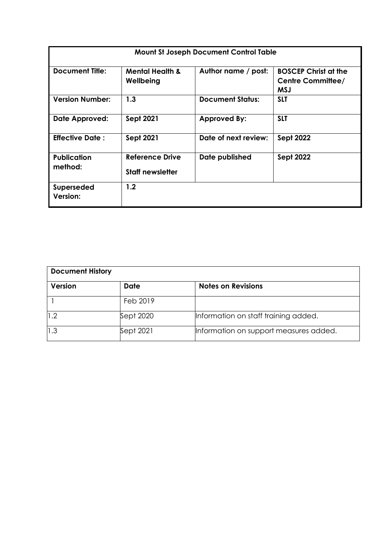| <b>Mount St Joseph Document Control Table</b> |                                                   |                         |                                                                |  |
|-----------------------------------------------|---------------------------------------------------|-------------------------|----------------------------------------------------------------|--|
| <b>Document Title:</b>                        | <b>Mental Health &amp;</b><br>Wellbeing           | Author name / post:     | <b>BOSCEP Christ at the</b><br>Centre Committee/<br><b>MSJ</b> |  |
| <b>Version Number:</b>                        | 1.3                                               | <b>Document Status:</b> | <b>SLT</b>                                                     |  |
| Date Approved:                                | <b>Sept 2021</b>                                  | <b>Approved By:</b>     | <b>SLT</b>                                                     |  |
| <b>Effective Date:</b>                        | <b>Sept 2021</b>                                  | Date of next review:    | <b>Sept 2022</b>                                               |  |
| <b>Publication</b><br>method:                 | <b>Reference Drive</b><br><b>Staff newsletter</b> | Date published          | <b>Sept 2022</b>                                               |  |
| <b>Superseded</b><br><b>Version:</b>          | 1.2                                               |                         |                                                                |  |

| <b>Document History</b> |             |                                        |  |
|-------------------------|-------------|----------------------------------------|--|
| <b>Version</b>          | <b>Date</b> | <b>Notes on Revisions</b>              |  |
|                         | Feb 2019    |                                        |  |
| 1.2                     | Sept 2020   | Information on staff training added.   |  |
| 1.3                     | Sept 2021   | Information on support measures added. |  |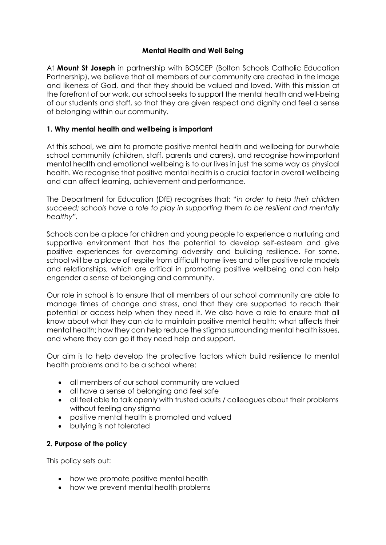### **Mental Health and Well Being**

At **Mount St Joseph** in partnership with BOSCEP (Bolton Schools Catholic Education Partnership), we believe that all members of our community are created in the image and likeness of God, and that they should be valued and loved. With this mission at the forefront of our work, our school seeks to support the mental health and well-being of our students and staff, so that they are given respect and dignity and feel a sense of belonging within our community.

## **1. Why mental health and wellbeing is important**

At this school, we aim to promote positive mental health and wellbeing for ourwhole school community (children, staff, parents and carers), and recognise howimportant mental health and emotional wellbeing is to our lives in just the same way as physical health. We recognise that positive mental health is a crucial factor in overall wellbeing and can affect learning, achievement and performance.

The Department for Education (DfE) recognises that: "*in order to help their children succeed; schools have a role to play in supporting them to be resilient and mentally healthy".*

Schools can be a place for children and young people to experience a nurturing and supportive environment that has the potential to develop self-esteem and give positive experiences for overcoming adversity and building resilience. For some, school will be a place of respite from difficult home lives and offer positive role models and relationships, which are critical in promoting positive wellbeing and can help engender a sense of belonging and community.

Our role in school is to ensure that all members of our school community are able to manage times of change and stress, and that they are supported to reach their potential or access help when they need it. We also have a role to ensure that all know about what they can do to maintain positive mental health; what affects their mental health; how they can help reduce the stigma surrounding mental health issues, and where they can go if they need help and support.

Our aim is to help develop the protective factors which build resilience to mental health problems and to be a school where:

- all members of our school community are valued
- all have a sense of belonging and feel safe
- all feel able to talk openly with trusted adults / colleagues about their problems without feeling any stigma
- positive mental health is promoted and valued
- bullying is not tolerated

#### **2. Purpose of the policy**

This policy sets out:

- how we promote positive mental health
- how we prevent mental health problems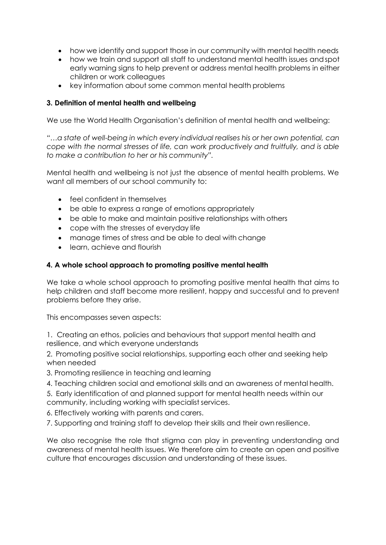- how we identify and support those in our community with mental health needs
- how we train and support all staff to understand mental health issues andspot early warning signs to help prevent or address mental health problems in either children or work colleagues
- key information about some common mental health problems

## **3. Definition of mental health and wellbeing**

We use the World Health Organisation's definition of mental health and wellbeing:

*"…a state of well-being in which every individual realises his or her own potential, can cope with the normal stresses of life, can work productively and fruitfully, and is able to make a contribution to her or his community".*

Mental health and wellbeing is not just the absence of mental health problems. We want all members of our school community to:

- feel confident in themselves
- be able to express a range of emotions appropriately
- be able to make and maintain positive relationships with others
- cope with the stresses of everyday life
- manage times of stress and be able to deal with change
- learn, achieve and flourish

## **4. A whole school approach to promoting positive mental health**

We take a whole school approach to promoting positive mental health that aims to help children and staff become more resilient, happy and successful and to prevent problems before they arise.

This encompasses seven aspects:

1. Creating an ethos, policies and behaviours that support mental health and resilience, and which everyone understands

2. Promoting positive social relationships, supporting each other and seeking help when needed

- 3. Promoting resilience in teaching and learning
- 4. Teaching children social and emotional skills and an awareness of mental health.
- 5. Early identification of and planned support for mental health needs within our community, including working with specialist services.
- 6. Effectively working with parents and carers.
- 7. Supporting and training staff to develop their skills and their own resilience.

We also recognise the role that stigma can play in preventing understanding and awareness of mental health issues. We therefore aim to create an open and positive culture that encourages discussion and understanding of these issues.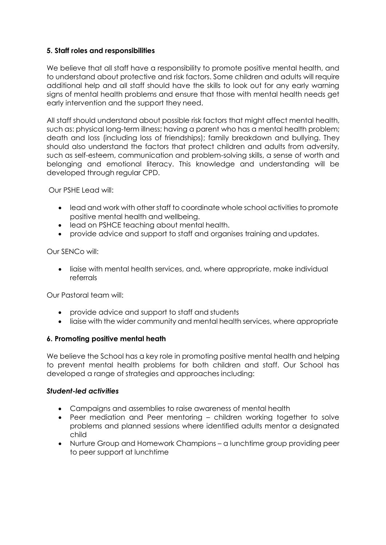### **5. Staff roles and responsibilities**

We believe that all staff have a responsibility to promote positive mental health, and to understand about protective and risk factors. Some children and adults will require additional help and all staff should have the skills to look out for any early warning signs of mental health problems and ensure that those with mental health needs get early intervention and the support they need.

All staff should understand about possible risk factors that might affect mental health, such as: physical long-term illness; having a parent who has a mental health problem; death and loss (including loss of friendships); family breakdown and bullying. They should also understand the factors that protect children and adults from adversity, such as self-esteem, communication and problem-solving skills, a sense of worth and belonging and emotional literacy. This knowledge and understanding will be developed through regular CPD.

Our PSHE Lead will:

- lead and work with other staff to coordinate whole school activities to promote positive mental health and wellbeing.
- lead on PSHCE teaching about mental health.
- provide advice and support to staff and organises training and updates.

#### Our SENCo will:

• liaise with mental health services, and, where appropriate, make individual referrals

Our Pastoral team will:

- provide advice and support to staff and students
- liaise with the wider community and mental health services, where appropriate

#### **6. Promoting positive mental heath**

We believe the School has a key role in promoting positive mental health and helping to prevent mental health problems for both children and staff. Our School has developed a range of strategies and approaches including:

#### *Student-led activities*

- Campaigns and assemblies to raise awareness of mental health
- Peer mediation and Peer mentoring children working together to solve problems and planned sessions where identified adults mentor a designated child
- Nurture Group and Homework Champions a lunchtime group providing peer to peer support at lunchtime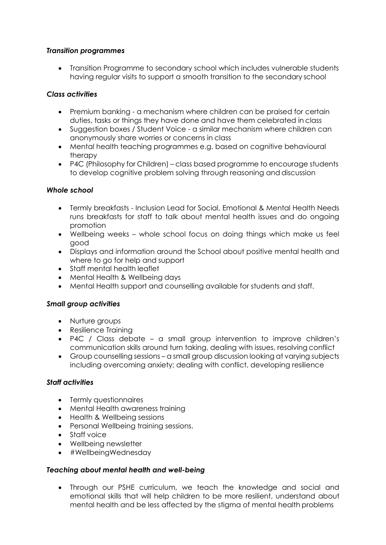### *Transition programmes*

• Transition Programme to secondary school which includes vulnerable students having regular visits to support a smooth transition to the secondary school

## *Class activities*

- Premium banking a mechanism where children can be praised for certain duties, tasks or things they have done and have them celebrated in class
- Suggestion boxes / Student Voice a similar mechanism where children can anonymously share worries or concerns in class
- Mental health teaching programmes e.g. based on cognitive behavioural therapy
- P4C (Philosophy for Children) class based programme to encourage students to develop cognitive problem solving through reasoning and discussion

#### *Whole school*

- Termly breakfasts Inclusion Lead for Social, Emotional & Mental Health Needs runs breakfasts for staff to talk about mental health issues and do ongoing promotion
- Wellbeing weeks whole school focus on doing things which make us feel good
- Displays and information around the School about positive mental health and where to go for help and support
- Staff mental health leaflet
- Mental Health & Wellbeing days
- Mental Health support and counselling available for students and staff.

#### *Small group activities*

- Nurture groups
- Resilience Training
- P4C / Class debate a small group intervention to improve children's communication skills around turn taking, dealing with issues, resolving conflict
- Group counselling sessions a small group discussion looking at varying subjects including overcoming anxiety; dealing with conflict, developing resilience

#### *Staff activities*

- Termly questionnaires
- Mental Health awareness training
- Health & Wellbeing sessions
- Personal Wellbeing training sessions.
- Staff voice
- Wellbeing newsletter
- #WellbeingWednesday

#### *Teaching about mental health and well-being*

• Through our PSHE curriculum, we teach the knowledge and social and emotional skills that will help children to be more resilient, understand about mental health and be less affected by the stigma of mental health problems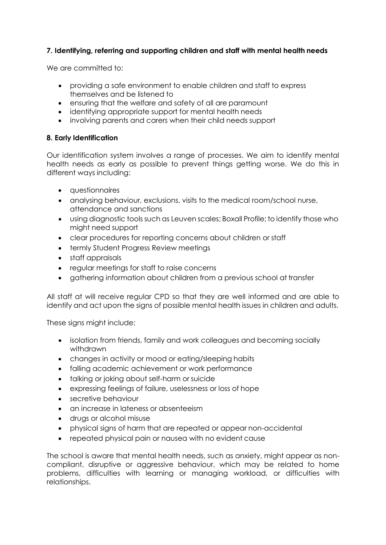## **7. Identifying, referring and supporting children and staff with mental health needs**

We are committed to:

- providing a safe environment to enable children and staff to express themselves and be listened to
- ensuring that the welfare and safety of all are paramount
- identifying appropriate support for mental health needs
- involving parents and carers when their child needs support

#### **8. Early Identification**

Our identification system involves a range of processes. We aim to identify mental health needs as early as possible to prevent things getting worse. We do this in different ways including:

- questionnaires
- analysing behaviour, exclusions, visits to the medical room/school nurse, attendance and sanctions
- using diagnostic tools such as Leuven scales; Boxall Profile; to identify those who might need support
- clear procedures for reporting concerns about children or staff
- termly Student Progress Review meetings
- staff appraisals
- regular meetings for staff to raise concerns
- gathering information about children from a previous school at transfer

All staff at will receive regular CPD so that they are well informed and are able to identify and act upon the signs of possible mental health issues in children and adults.

These signs might include:

- isolation from friends, family and work colleagues and becoming socially withdrawn
- changes in activity or mood or eating/sleeping habits
- falling academic achievement or work performance
- talking or joking about self-harm or suicide
- expressing feelings of failure, uselessness or loss of hope
- secretive behaviour
- an increase in lateness or absenteeism
- drugs or alcohol misuse
- physical signs of harm that are repeated or appear non-accidental
- repeated physical pain or nausea with no evident cause

The school is aware that mental health needs, such as anxiety, might appear as noncompliant, disruptive or aggressive behaviour, which may be related to home problems, difficulties with learning or managing workload, or difficulties with relationships.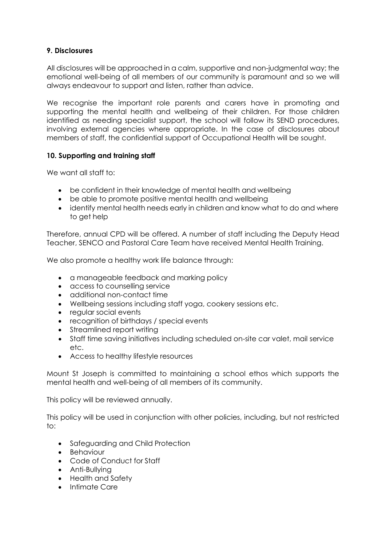### **9. Disclosures**

All disclosures will be approached in a calm, supportive and non-judgmental way; the emotional well-being of all members of our community is paramount and so we will always endeavour to support and listen, rather than advice.

We recognise the important role parents and carers have in promoting and supporting the mental health and wellbeing of their children. For those children identified as needing specialist support, the school will follow its SEND procedures, involving external agencies where appropriate. In the case of disclosures about members of staff, the confidential support of Occupational Health will be sought.

## **10. Supporting and training staff**

We want all staff to:

- be confident in their knowledge of mental health and wellbeing
- be able to promote positive mental health and wellbeing
- identify mental health needs early in children and know what to do and where to get help

Therefore, annual CPD will be offered. A number of staff including the Deputy Head Teacher, SENCO and Pastoral Care Team have received Mental Health Training.

We also promote a healthy work life balance through:

- a manageable feedback and marking policy
- access to counselling service
- additional non-contact time
- Wellbeing sessions including staff yoga, cookery sessions etc.
- regular social events
- recognition of birthdays / special events
- Streamlined report writing
- Staff time saving initiatives including scheduled on-site car valet, mail service etc.
- Access to healthy lifestyle resources

Mount St Joseph is committed to maintaining a school ethos which supports the mental health and well-being of all members of its community.

This policy will be reviewed annually.

This policy will be used in conjunction with other policies, including, but not restricted to:

- Safeguarding and Child Protection
- Behaviour
- Code of Conduct for Staff
- Anti-Bullying
- Health and Safety
- Intimate Care